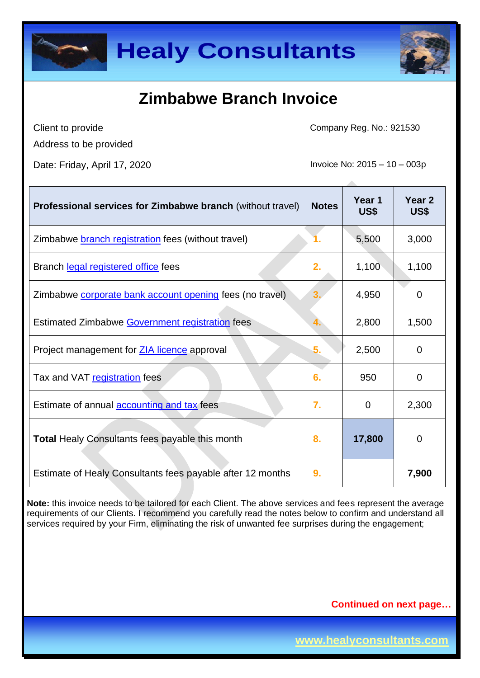



Client to provide Address to be provided Company Reg. No.: 921530

Date: Friday, April 17, 2020 **Invoice No: 2015** – 10 – 003p

| <b>Professional services for Zimbabwe branch (without travel)</b> | <b>Notes</b> | Year <sub>1</sub><br>US\$ | Year <sub>2</sub><br>US\$ |
|-------------------------------------------------------------------|--------------|---------------------------|---------------------------|
| Zimbabwe <b>branch registration</b> fees (without travel)         |              | 5,500                     | 3,000                     |
| Branch legal registered office fees                               | 2.           | 1,100                     | 1,100                     |
| Zimbabwe corporate bank account opening fees (no travel)          |              | 4,950                     | 0                         |
| Estimated Zimbabwe Government registration fees                   |              | 2,800                     | 1,500                     |
| Project management for <b>ZIA licence</b> approval                | 5.           | 2,500                     | $\Omega$                  |
| Tax and VAT registration fees                                     | 6.           | 950                       | $\mathbf 0$               |
| Estimate of annual <b>accounting and tax</b> fees                 | 7.           | $\mathbf 0$               | 2,300                     |
| <b>Total Healy Consultants fees payable this month</b>            | 8.           | 17,800                    | $\Omega$                  |
| Estimate of Healy Consultants fees payable after 12 months        | 9.           |                           | 7,900                     |

**Note:** this invoice needs to be tailored for each Client. The above services and fees represent the average requirements of our Clients. I recommend you carefully read the notes below to confirm and understand all services required by your Firm, eliminating the risk of unwanted fee surprises during the engagement;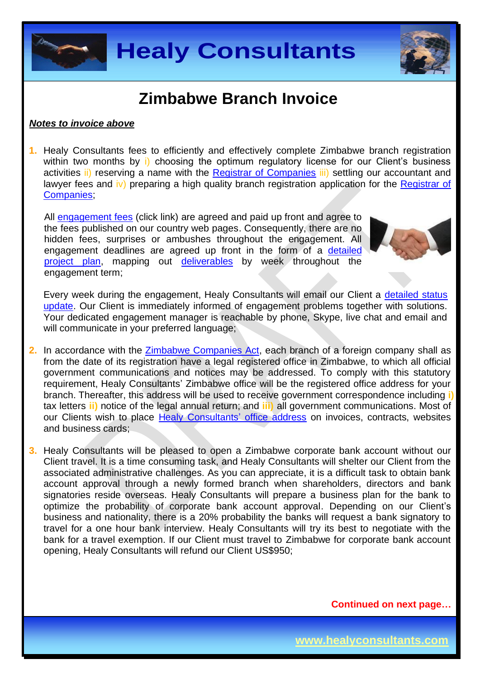



#### *Notes to invoice above*

**1.** Healy Consultants fees to efficiently and effectively complete Zimbabwe branch registration within two months by i) choosing the optimum regulatory license for our Client's business activities *ii*) reserving a name with the [Registrar of Companies](http://www.rg.gov.zw/) *iii*) settling our accountant and lawyer fees and iv) preparing a high quality branch registration application for the Registrar of [Companies;](http://www.rg.gov.zw/)

All [engagement fees](http://www.healyconsultants.com/company-registration-fees/) (click link) are agreed and paid up front and agree to the fees published on our country web pages. Consequently, there are no hidden fees, surprises or ambushes throughout the engagement. All engagement deadlines are agreed up front in the form of a [detailed](http://www.healyconsultants.com/index-important-links/example-project-plan/)  [project plan,](http://www.healyconsultants.com/index-important-links/example-project-plan/) mapping out [deliverables](http://www.healyconsultants.com/deliverables-to-our-clients/) by week throughout the engagement term;



Every week during the engagement, Healy Consultants will email our Client a [detailed status](http://www.healyconsultants.com/index-important-links/weekly-engagement-status-email/)  [update.](http://www.healyconsultants.com/index-important-links/weekly-engagement-status-email/) Our Client is immediately informed of engagement problems together with solutions. Your dedicated engagement manager is reachable by phone, Skype, live chat and email and will communicate in your preferred language;

- **2.** In accordance with the [Zimbabwe Companies Act,](http://www.parlzim.gov.zw/attachments/article/110/COMPANIES_ACT_24_03.pdf) each branch of a foreign company shall as from the date of its registration have a legal registered office in Zimbabwe, to which all official government communications and notices may be addressed. To comply with this statutory requirement, Healy Consultants' Zimbabwe office will be the registered office address for your branch. Thereafter, this address will be used to receive government correspondence including **i)** tax letters **ii)** notice of the legal annual return; and **iii)** all government communications. Most of our Clients wish to place [Healy Consultants'](http://www.healyconsultants.com/corporate-outsourcing-services/company-secretary-and-legal-registered-office/) office address on invoices, contracts, websites and business cards;
- **3.** Healy Consultants will be pleased to open a Zimbabwe corporate bank account without our Client travel. It is a time consuming task, and Healy Consultants will shelter our Client from the associated administrative challenges. As you can appreciate, it is a difficult task to obtain bank account approval through a newly formed branch when shareholders, directors and bank signatories reside overseas. Healy Consultants will prepare a business plan for the bank to optimize the probability of corporate bank account approval. Depending on our Client's business and nationality, there is a 20% probability the banks will request a bank signatory to travel for a one hour bank interview. Healy Consultants will try its best to negotiate with the bank for a travel exemption. If our Client must travel to Zimbabwe for corporate bank account opening, Healy Consultants will refund our Client US\$950;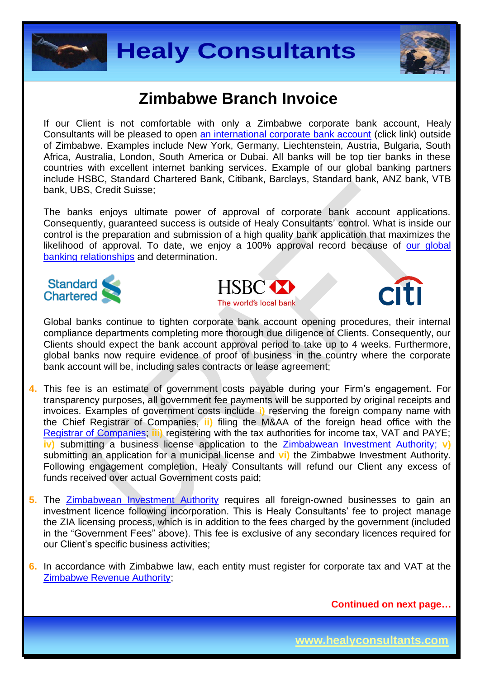



If our Client is not comfortable with only a Zimbabwe corporate bank account, Healy Consultants will be pleased to open [an international corporate bank account](http://www.healyconsultants.com/international-banking/) (click link) outside of Zimbabwe. Examples include New York, Germany, Liechtenstein, Austria, Bulgaria, South Africa, Australia, London, South America or Dubai. All banks will be top tier banks in these countries with excellent internet banking services. Example of our global banking partners include HSBC, Standard Chartered Bank, Citibank, Barclays, Standard bank, ANZ bank, VTB bank, UBS, Credit Suisse;

The banks enjoys ultimate power of approval of corporate bank account applications. Consequently, guaranteed success is outside of Healy Consultants' control. What is inside our control is the preparation and submission of a high quality bank application that maximizes the likelihood of approval. To date, we enjoy a 100% approval record because of our global [banking relationships](http://www.healyconsultants.com/international-banking/corporate-accounts/) and determination.







Global banks continue to tighten corporate bank account opening procedures, their internal compliance departments completing more thorough due diligence of Clients. Consequently, our Clients should expect the bank account approval period to take up to 4 weeks. Furthermore, global banks now require evidence of proof of business in the country where the corporate bank account will be, including sales contracts or lease agreement;

- **4.** This fee is an estimate of government costs payable during your Firm's engagement. For transparency purposes, all government fee payments will be supported by original receipts and invoices. Examples of government costs include **i)** reserving the foreign company name with the Chief Registrar of Companies, **ii)** filing the M&AA of the foreign head office with the [Registrar of Companies;](http://www.rg.gov.zw/) **iii)** registering with the tax authorities for income tax, VAT and PAYE; **iv)** submitting a business license application to the [Zimbabwean Investment Authority;](http://www.investzim.com/) **v)** submitting an application for a municipal license and **vi)** the Zimbabwe Investment Authority. Following engagement completion, Healy Consultants will refund our Client any excess of funds received over actual Government costs paid;
- **5.** The [Zimbabwean Investment Authority](http://www.investzim.com/) requires all foreign-owned businesses to gain an investment licence following incorporation. This is Healy Consultants' fee to project manage the ZIA licensing process, which is in addition to the fees charged by the government (included in the "Government Fees" above). This fee is exclusive of any secondary licences required for our Client's specific business activities;
- **6.** In accordance with Zimbabwe law, each entity must register for corporate tax and VAT at the [Zimbabwe Revenue Authority;](http://www.zimra.co.zw/index.php?option=com_content&view=article&id=73&Itemid=72)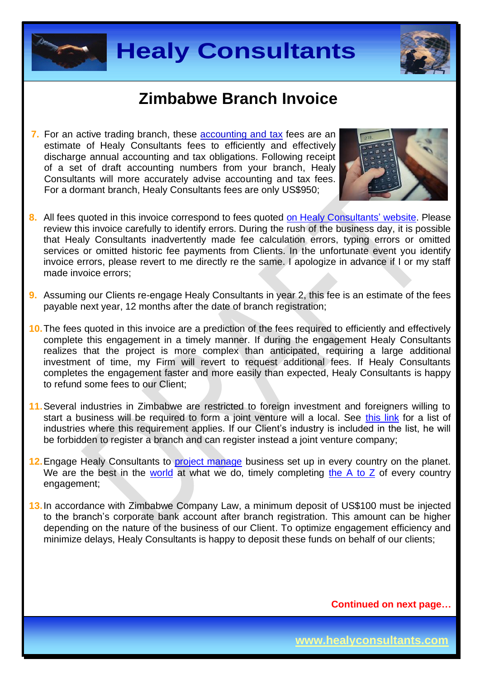



**7.** For an active trading branch, these accounting and tax fees are an estimate of Healy Consultants fees to efficiently and effectively discharge annual accounting and tax obligations. Following receipt of a set of draft accounting numbers from your branch, Healy Consultants will more accurately advise accounting and tax fees. For a dormant branch, Healy Consultants fees are only US\$950;



- **8.** All fees quoted in this invoice correspond to fees quoted [on Healy Consultants'](http://www.healyconsultants.com/company-registration-fees/) website. Please review this invoice carefully to identify errors. During the rush of the business day, it is possible that Healy Consultants inadvertently made fee calculation errors, typing errors or omitted services or omitted historic fee payments from Clients. In the unfortunate event you identify invoice errors, please revert to me directly re the same. I apologize in advance if I or my staff made invoice errors;
- **9.** Assuming our Clients re-engage Healy Consultants in year 2, this fee is an estimate of the fees payable next year, 12 months after the date of branch registration;
- **10.**The fees quoted in this invoice are a prediction of the fees required to efficiently and effectively complete this engagement in a timely manner. If during the engagement Healy Consultants realizes that the project is more complex than anticipated, requiring a large additional investment of time, my Firm will revert to request additional fees. If Healy Consultants completes the engagement faster and more easily than expected, Healy Consultants is happy to refund some fees to our Client;
- **11.**Several industries in Zimbabwe are restricted to foreign investment and foreigners willing to start a business will be required to form a joint venture will a local. See [this link](http://www.assecaa.org/images/investment_law/English/Zimbabwe_investment_gudie.pdf) for a list of industries where this requirement applies. If our Client's industry is included in the list, he will be forbidden to register a branch and can register instead a joint venture company;
- 12. Engage Healy Consultants to **project manage** business set up in every country on the planet. We are the best in the [world](http://www.healyconsultants.com/best-in-the-world/) at what we do, timely completing the  $A$  to  $Z$  of every country engagement;
- **13.**In accordance with Zimbabwe Company Law, a minimum deposit of US\$100 must be injected to the branch's corporate bank account after branch registration. This amount can be higher depending on the nature of the business of our Client. To optimize engagement efficiency and minimize delays, Healy Consultants is happy to deposit these funds on behalf of our clients;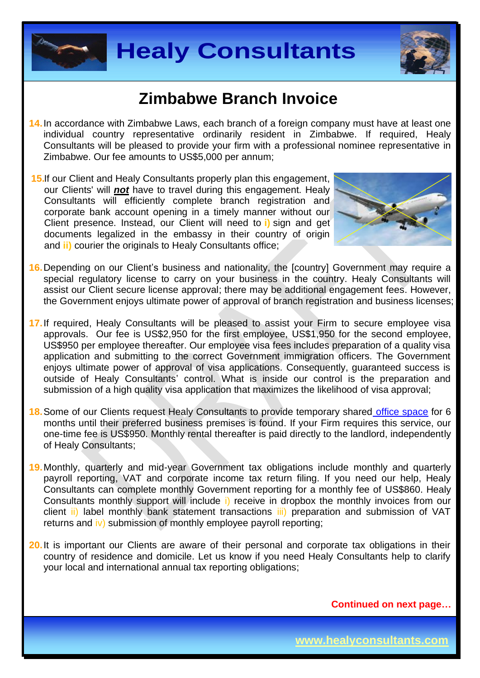



- **14.**In accordance with Zimbabwe Laws, each branch of a foreign company must have at least one individual country representative ordinarily resident in Zimbabwe. If required, Healy Consultants will be pleased to provide your firm with a professional nominee representative in Zimbabwe. Our fee amounts to US\$5,000 per annum;
- **15.**If our Client and Healy Consultants properly plan this engagement, our Clients' will *not* have to travel during this engagement. Healy Consultants will efficiently complete branch registration and corporate bank account opening in a timely manner without our Client presence. Instead, our Client will need to **i)** sign and get documents legalized in the embassy in their country of origin and **ii)** courier the originals to Healy Consultants office;



- **16.**Depending on our Client's business and nationality, the [country] Government may require a special regulatory license to carry on your business in the country. Healy Consultants will assist our Client secure license approval; there may be additional engagement fees. However, the Government enjoys ultimate power of approval of branch registration and business licenses;
- **17.**If required, Healy Consultants will be pleased to assist your Firm to secure employee visa approvals. Our fee is US\$2,950 for the first employee, US\$1,950 for the second employee, US\$950 per employee thereafter. Our employee visa fees includes preparation of a quality visa application and submitting to the correct Government immigration officers. The Government enjoys ultimate power of approval of visa applications. Consequently, guaranteed success is outside of Healy Consultants' control. What is inside our control is the preparation and submission of a high quality visa application that maximizes the likelihood of visa approval;
- **18.**Some of our Clients request Healy Consultants to provide temporary shared [office space](http://www.healyconsultants.com/virtual-office/) for 6 months until their preferred business premises is found. If your Firm requires this service, our one-time fee is US\$950. Monthly rental thereafter is paid directly to the landlord, independently of Healy Consultants;
- **19.**Monthly, quarterly and mid-year Government tax obligations include monthly and quarterly payroll reporting, VAT and corporate income tax return filing. If you need our help, Healy Consultants can complete monthly Government reporting for a monthly fee of US\$860. Healy Consultants monthly support will include i) receive in dropbox the monthly invoices from our client ii) label monthly bank statement transactions iii) preparation and submission of VAT returns and iv) submission of monthly employee payroll reporting;
- **20.**It is important our Clients are aware of their personal and corporate tax obligations in their country of residence and domicile. Let us know if you need Healy Consultants help to clarify your local and international annual tax reporting obligations;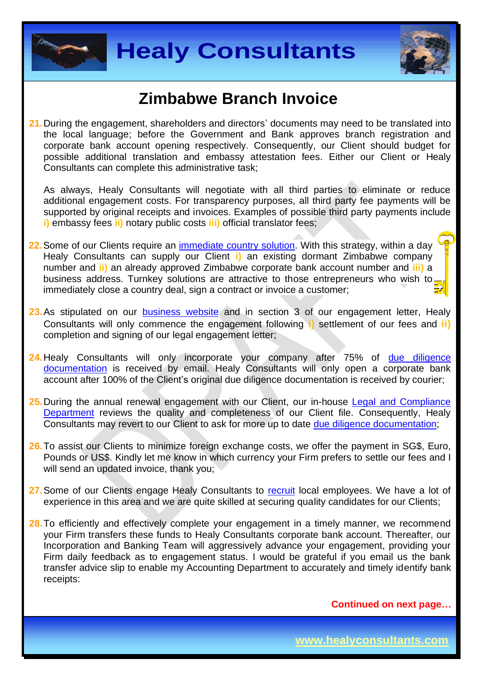



**21.**During the engagement, shareholders and directors' documents may need to be translated into the local language; before the Government and Bank approves branch registration and corporate bank account opening respectively. Consequently, our Client should budget for possible additional translation and embassy attestation fees. Either our Client or Healy Consultants can complete this administrative task;

As always, Healy Consultants will negotiate with all third parties to eliminate or reduce additional engagement costs. For transparency purposes, all third party fee payments will be supported by original receipts and invoices. Examples of possible third party payments include **i)** embassy fees **ii)** notary public costs **iii)** official translator fees;

- **22.**Some of our Clients require an [immediate country](http://www.healyconsultants.com/turnkey-solutions/) solution. With this strategy, within a day Healy Consultants can supply our Client **i)** an existing dormant Zimbabwe company number and **ii)** an already approved Zimbabwe corporate bank account number and **iii)** a business address. Turnkey solutions are attractive to those entrepreneurs who wish to immediately close a country deal, sign a contract or invoice a customer;
- 23. As stipulated on our [business website](http://www.healyconsultants.com/) and in section 3 of our engagement letter, Healy Consultants will only commence the engagement following **i)** settlement of our fees and **ii)** completion and signing of our legal engagement letter;
- **24.**Healy Consultants will only incorporate your company after 75% of [due diligence](http://www.healyconsultants.com/due-diligence/)  [documentation](http://www.healyconsultants.com/due-diligence/) is received by email. Healy Consultants will only open a corporate bank account after 100% of the Client's original due diligence documentation is received by courier;
- **25.**During the annual renewal engagement with our Client, our in-house [Legal and Compliance](http://www.healyconsultants.com/about-us/key-personnel/cai-xin-profile/)  [Department](http://www.healyconsultants.com/about-us/key-personnel/cai-xin-profile/) reviews the quality and completeness of our Client file. Consequently, Healy Consultants may revert to our Client to ask for more up to date [due diligence documentation;](http://www.healyconsultants.com/due-diligence/)
- **26.**To assist our Clients to minimize foreign exchange costs, we offer the payment in SG\$, Euro, Pounds or US\$. Kindly let me know in which currency your Firm prefers to settle our fees and I will send an updated invoice, thank you;
- 27. Some of our Clients engage Healy Consultants to [recruit](http://www.healyconsultants.com/corporate-outsourcing-services/how-we-help-our-clients-recruit-quality-employees/) local employees. We have a lot of experience in this area and we are quite skilled at securing quality candidates for our Clients;
- 28. To efficiently and effectively complete your engagement in a timely manner, we recommend your Firm transfers these funds to Healy Consultants corporate bank account. Thereafter, our Incorporation and Banking Team will aggressively advance your engagement, providing your Firm daily feedback as to engagement status. I would be grateful if you email us the bank transfer advice slip to enable my Accounting Department to accurately and timely identify bank receipts: